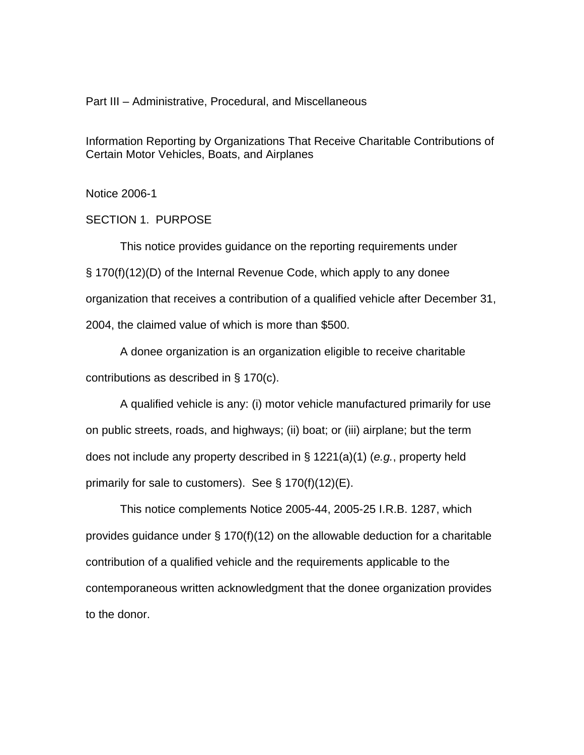Part III – Administrative, Procedural, and Miscellaneous

Information Reporting by Organizations That Receive Charitable Contributions of Certain Motor Vehicles, Boats, and Airplanes

Notice 2006-1

SECTION 1. PURPOSE

This notice provides guidance on the reporting requirements under § 170(f)(12)(D) of the Internal Revenue Code, which apply to any donee organization that receives a contribution of a qualified vehicle after December 31, 2004, the claimed value of which is more than \$500.

A donee organization is an organization eligible to receive charitable contributions as described in § 170(c).

A qualified vehicle is any: (i) motor vehicle manufactured primarily for use on public streets, roads, and highways; (ii) boat; or (iii) airplane; but the term does not include any property described in § 1221(a)(1) (*e.g.*, property held primarily for sale to customers). See  $\S 170(f)(12)(E)$ .

 This notice complements Notice 2005-44, 2005-25 I.R.B. 1287, which provides guidance under  $\S$  170(f)(12) on the allowable deduction for a charitable contribution of a qualified vehicle and the requirements applicable to the contemporaneous written acknowledgment that the donee organization provides to the donor.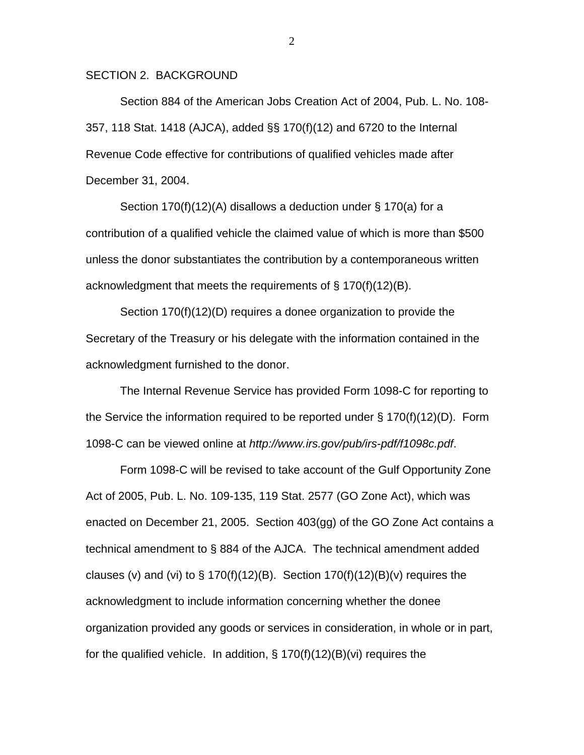#### SECTION 2. BACKGROUND

Section 884 of the American Jobs Creation Act of 2004, Pub. L. No. 108- 357, 118 Stat. 1418 (AJCA), added §§ 170(f)(12) and 6720 to the Internal Revenue Code effective for contributions of qualified vehicles made after December 31, 2004.

Section 170(f)(12)(A) disallows a deduction under § 170(a) for a contribution of a qualified vehicle the claimed value of which is more than \$500 unless the donor substantiates the contribution by a contemporaneous written acknowledgment that meets the requirements of § 170(f)(12)(B).

Section 170(f)(12)(D) requires a donee organization to provide the Secretary of the Treasury or his delegate with the information contained in the acknowledgment furnished to the donor.

The Internal Revenue Service has provided Form 1098-C for reporting to the Service the information required to be reported under  $\S$  170(f)(12)(D). Form 1098-C can be viewed online at *http://www.irs.gov/pub/irs-pdf/f1098c.pdf*.

 Form 1098-C will be revised to take account of the Gulf Opportunity Zone Act of 2005, Pub. L. No. 109-135, 119 Stat. 2577 (GO Zone Act), which was enacted on December 21, 2005. Section 403(gg) of the GO Zone Act contains a technical amendment to § 884 of the AJCA. The technical amendment added clauses (v) and (vi) to  $\S$  170(f)(12)(B). Section 170(f)(12)(B)(v) requires the acknowledgment to include information concerning whether the donee organization provided any goods or services in consideration, in whole or in part, for the qualified vehicle. In addition,  $\S$  170(f)(12)(B)(vi) requires the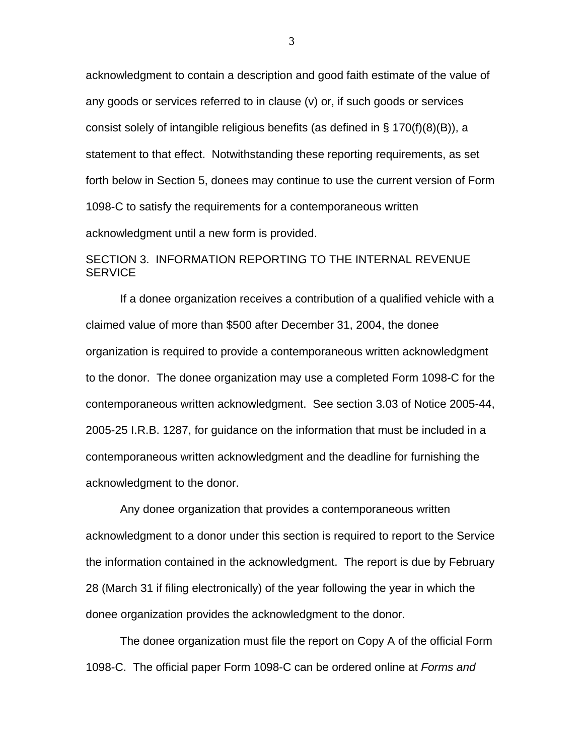acknowledgment to contain a description and good faith estimate of the value of any goods or services referred to in clause (v) or, if such goods or services consist solely of intangible religious benefits (as defined in § 170(f)(8)(B)), a statement to that effect. Notwithstanding these reporting requirements, as set forth below in Section 5, donees may continue to use the current version of Form 1098-C to satisfy the requirements for a contemporaneous written acknowledgment until a new form is provided.

## SECTION 3. INFORMATION REPORTING TO THE INTERNAL REVENUE **SERVICE**

If a donee organization receives a contribution of a qualified vehicle with a claimed value of more than \$500 after December 31, 2004, the donee organization is required to provide a contemporaneous written acknowledgment to the donor. The donee organization may use a completed Form 1098-C for the contemporaneous written acknowledgment. See section 3.03 of Notice 2005-44, 2005-25 I.R.B. 1287, for guidance on the information that must be included in a contemporaneous written acknowledgment and the deadline for furnishing the acknowledgment to the donor.

Any donee organization that provides a contemporaneous written acknowledgment to a donor under this section is required to report to the Service the information contained in the acknowledgment. The report is due by February 28 (March 31 if filing electronically) of the year following the year in which the donee organization provides the acknowledgment to the donor.

The donee organization must file the report on Copy A of the official Form 1098-C. The official paper Form 1098-C can be ordered online at *Forms and*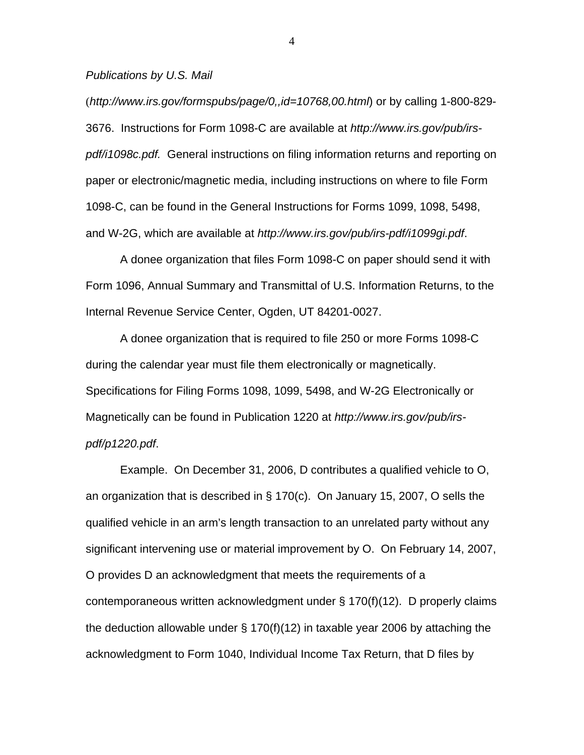*Publications by U.S. Mail*

(*http://www.irs.gov/formspubs/page/0,,id=10768,00.html*) or by calling 1-800-829- 3676. Instructions for Form 1098-C are available at *http://www.irs.gov/pub/irspdf/i1098c.pdf.* General instructions on filing information returns and reporting on paper or electronic/magnetic media, including instructions on where to file Form 1098-C, can be found in the General Instructions for Forms 1099, 1098, 5498, and W-2G, which are available at *http://www.irs.gov/pub/irs-pdf/i1099gi.pdf*.

A donee organization that files Form 1098-C on paper should send it with Form 1096, Annual Summary and Transmittal of U.S. Information Returns, to the Internal Revenue Service Center, Ogden, UT 84201-0027.

A donee organization that is required to file 250 or more Forms 1098-C during the calendar year must file them electronically or magnetically. Specifications for Filing Forms 1098, 1099, 5498, and W-2G Electronically or Magnetically can be found in Publication 1220 at *http://www.irs.gov/pub/irspdf/p1220.pdf*.

Example. On December 31, 2006, D contributes a qualified vehicle to O, an organization that is described in § 170(c). On January 15, 2007, O sells the qualified vehicle in an arm's length transaction to an unrelated party without any significant intervening use or material improvement by O. On February 14, 2007, O provides D an acknowledgment that meets the requirements of a contemporaneous written acknowledgment under § 170(f)(12). D properly claims the deduction allowable under § 170(f)(12) in taxable year 2006 by attaching the acknowledgment to Form 1040, Individual Income Tax Return, that D files by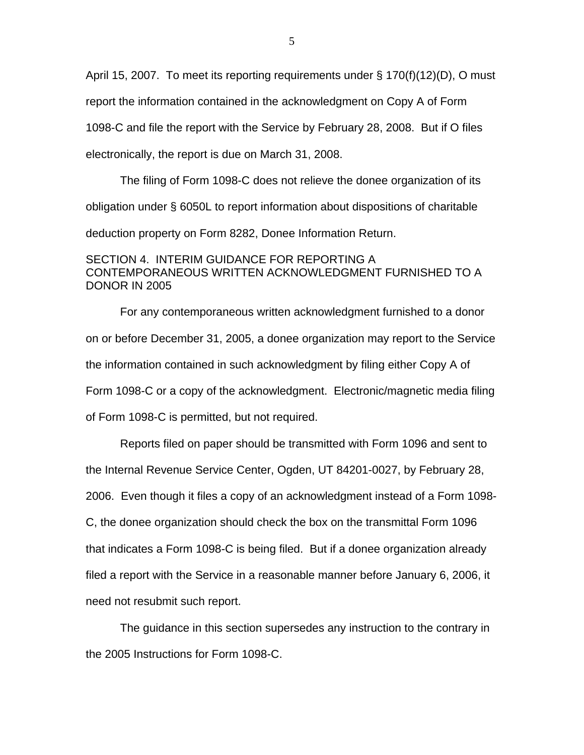April 15, 2007. To meet its reporting requirements under § 170(f)(12)(D), O must report the information contained in the acknowledgment on Copy A of Form 1098-C and file the report with the Service by February 28, 2008. But if O files electronically, the report is due on March 31, 2008.

The filing of Form 1098-C does not relieve the donee organization of its obligation under § 6050L to report information about dispositions of charitable deduction property on Form 8282, Donee Information Return.

### SECTION 4. INTERIM GUIDANCE FOR REPORTING A CONTEMPORANEOUS WRITTEN ACKNOWLEDGMENT FURNISHED TO A DONOR IN 2005

For any contemporaneous written acknowledgment furnished to a donor on or before December 31, 2005, a donee organization may report to the Service the information contained in such acknowledgment by filing either Copy A of Form 1098-C or a copy of the acknowledgment. Electronic/magnetic media filing of Form 1098-C is permitted, but not required.

Reports filed on paper should be transmitted with Form 1096 and sent to the Internal Revenue Service Center, Ogden, UT 84201-0027, by February 28, 2006. Even though it files a copy of an acknowledgment instead of a Form 1098- C, the donee organization should check the box on the transmittal Form 1096 that indicates a Form 1098-C is being filed. But if a donee organization already filed a report with the Service in a reasonable manner before January 6, 2006, it need not resubmit such report.

The guidance in this section supersedes any instruction to the contrary in the 2005 Instructions for Form 1098-C.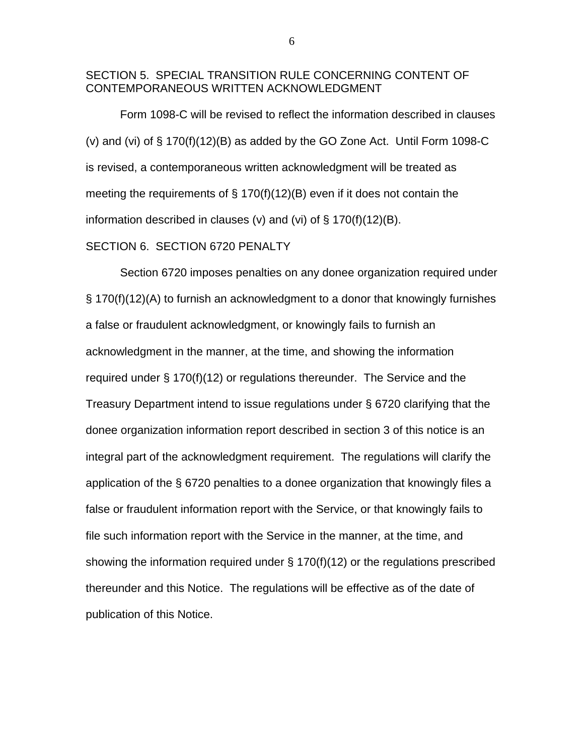#### SECTION 5. SPECIAL TRANSITION RULE CONCERNING CONTENT OF CONTEMPORANEOUS WRITTEN ACKNOWLEDGMENT

 Form 1098-C will be revised to reflect the information described in clauses (v) and (vi) of § 170(f)(12)(B) as added by the GO Zone Act. Until Form 1098-C is revised, a contemporaneous written acknowledgment will be treated as meeting the requirements of  $\S$  170(f)(12)(B) even if it does not contain the information described in clauses (v) and (vi) of  $\S$  170(f)(12)(B).

#### SECTION 6. SECTION 6720 PENALTY

Section 6720 imposes penalties on any donee organization required under § 170(f)(12)(A) to furnish an acknowledgment to a donor that knowingly furnishes a false or fraudulent acknowledgment, or knowingly fails to furnish an acknowledgment in the manner, at the time, and showing the information required under § 170(f)(12) or regulations thereunder. The Service and the Treasury Department intend to issue regulations under § 6720 clarifying that the donee organization information report described in section 3 of this notice is an integral part of the acknowledgment requirement. The regulations will clarify the application of the § 6720 penalties to a donee organization that knowingly files a false or fraudulent information report with the Service, or that knowingly fails to file such information report with the Service in the manner, at the time, and showing the information required under § 170(f)(12) or the regulations prescribed thereunder and this Notice. The regulations will be effective as of the date of publication of this Notice.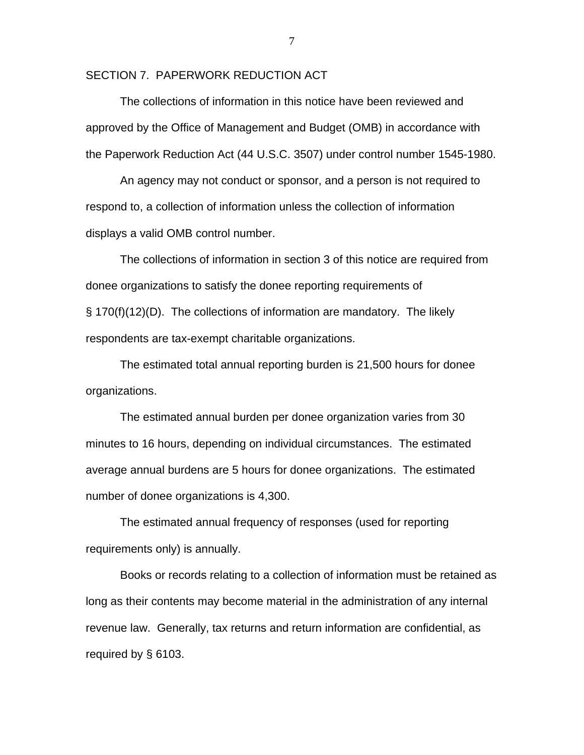SECTION 7. PAPERWORK REDUCTION ACT

The collections of information in this notice have been reviewed and approved by the Office of Management and Budget (OMB) in accordance with the Paperwork Reduction Act (44 U.S.C. 3507) under control number 1545-1980.

An agency may not conduct or sponsor, and a person is not required to respond to, a collection of information unless the collection of information displays a valid OMB control number.

The collections of information in section 3 of this notice are required from donee organizations to satisfy the donee reporting requirements of § 170(f)(12)(D). The collections of information are mandatory. The likely respondents are tax-exempt charitable organizations.

The estimated total annual reporting burden is 21,500 hours for donee organizations.

The estimated annual burden per donee organization varies from 30 minutes to 16 hours, depending on individual circumstances. The estimated average annual burdens are 5 hours for donee organizations. The estimated number of donee organizations is 4,300.

The estimated annual frequency of responses (used for reporting requirements only) is annually.

Books or records relating to a collection of information must be retained as long as their contents may become material in the administration of any internal revenue law. Generally, tax returns and return information are confidential, as required by § 6103.